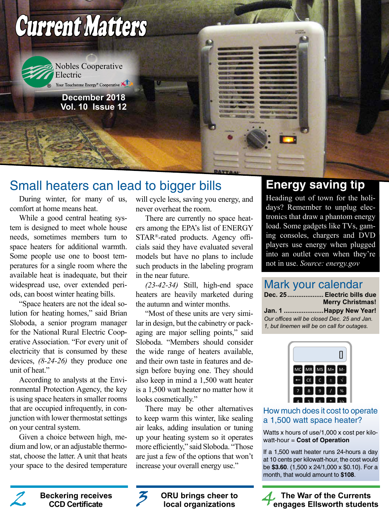

# Small heaters can lead to bigger bills

During winter, for many of us, comfort at home means heat.

While a good central heating system is designed to meet whole house needs, sometimes members turn to space heaters for additional warmth. Some people use one to boost temperatures for a single room where the available heat is inadequate, but their widespread use, over extended periods, can boost winter heating bills.

"Space heaters are not the ideal solution for heating homes," said Brian Sloboda, a senior program manager for the National Rural Electric Cooperative Association. "For every unit of electricity that is consumed by these devices, *(8-24-26)* they produce one unit of heat."

According to analysts at the Environmental Protection Agency, the key is using space heaters in smaller rooms that are occupied infrequently, in conjunction with lower thermostat settings on your central system.

Given a choice between high, medium and low, or an adjustable thermostat, choose the latter. A unit that heats your space to the desired temperature will cycle less, saving you energy, and never overheat the room.

There are currently no space heaters among the EPA's list of ENERGY STAR®-rated products. Agency officials said they have evaluated several models but have no plans to include such products in the labeling program in the near future.

*(23-42-34)* Still, high-end space heaters are heavily marketed during the autumn and winter months.

"Most of these units are very similar in design, but the cabinetry or packaging are major selling points," said Sloboda. "Members should consider the wide range of heaters available, and their own taste in features and design before buying one. They should also keep in mind a 1,500 watt heater is a 1,500 watt heater no matter how it looks cosmetically."

There may be other alternatives to keep warm this winter, like sealing air leaks, adding insulation or tuning up your heating system so it operates more efficiently," said Sloboda. "Those are just a few of the options that won't increase your overall energy use."

# **Energy saving tip**

Heading out of town for the holidays? Remember to unplug electronics that draw a phantom energy load. Some gadgets like TVs, gaming consoles, chargers and DVD players use energy when plugged into an outlet even when they're not in use. *Source: energy.gov*

# Mark your calendar

| Dec. 25 Electric bills due                  |
|---------------------------------------------|
| <b>Merry Christmas!</b>                     |
| Jan. 1 Happy New Year!                      |
| Our offices will be closed Dec. 25 and Jan. |
| 1, but linemen will be on call for outages. |



How much does it cost to operate a 1,500 watt space heater?

Watts x hours of use/1,000 x cost per kilowatt-hour = **Cost of Operation**

If a 1,500 watt heater runs 24-hours a day at 10 cents per kilowatt-hour, the cost would be **\$3.60**. (1,500 x 24/1,000 x \$0.10). For a month, that would amount to **\$108**.







**ORU brings cheer to**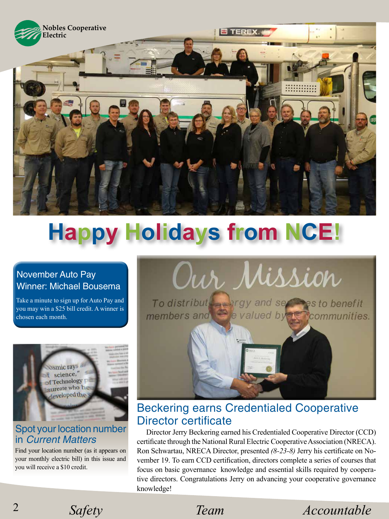

# **Happy Holidays from NCE!**

### November Auto Pay Winner: Michael Bousema

Take a minute to sign up for Auto Pay and you may win a \$25 bill credit. A winner is chosen each month.



# Spot your location number in Current Matters

Find your location number (as it appears on your monthly electric bill) in this issue and you will receive a \$10 credit.



To distribute a prgy and second ses to benefit members and  $\blacktriangleright$  valued by Communities.



# Beckering earns Credentialed Cooperative Director certificate

Director Jerry Beckering earned his Credentialed Cooperative Director (CCD) certificate through the National Rural Electric Cooperative Association (NRECA). Ron Schwartau, NRECA Director, presented *(8-23-8)* Jerry his certificate on November 19. To earn CCD certification, directors complete a series of courses that focus on basic governance knowledge and essential skills required by cooperative directors. Congratulations Jerry on advancing your cooperative governance knowledge!

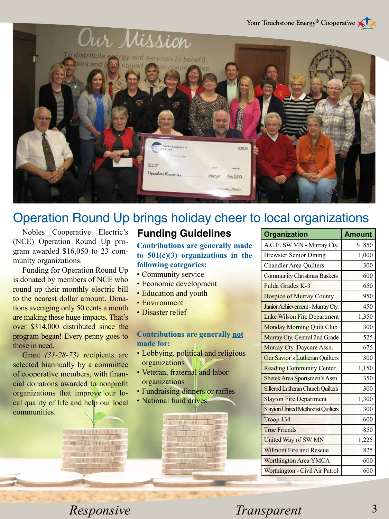

# Operation Round Up brings holiday cheer to local organizations

Nobles Cooperative Electric's **Funding Guidelines** (NCE) Operation Round Up program awarded \$16,050 to 23 community organizations.

Funding for Operation Round Up is donated by members of NCE who round up their monthly electric bill to the nearest dollar amount. Donations averaging only 50 cents a month are making these huge impacts. That's over \$314,000 distributed since the program began! Every penny goes to those in need.

Grant *(31-28-73)* recipients are selected biannually by a committee of cooperative members, with financial donations awarded to nonprofit organizations that improve our local quality of life and help our local communities.

**Contributions are generally made to 501(c)(3) organizations in the following categories:**

- Community service
- Economic development
- Education and youth
- Environment
- Disaster relief

#### **Contributions are generally not made for:**

- Lobbying, political and religious organizations
- Veteran, fraternal and labor organizations
- Fundraising dinners or raffles
- National fund drives

| <b>Organization</b>                      | <b>Amount</b> |
|------------------------------------------|---------------|
| A.C.E. SW MN - Murray Cty.               | \$850         |
|                                          |               |
| <b>Brewster Senior Dining</b>            | 1,000         |
| <b>Chandler Area Quilters</b>            | 300           |
| <b>Community Christmas Baskets</b>       | 600           |
| Fulda Grades K-3                         | 650           |
| <b>Hospice of Murray County</b>          | 950           |
| Junior Achievement - Murray Cty.         | 450           |
| <b>Lake Wilson Fire Department</b>       | 1,350         |
| <b>Monday Morning Quilt Club</b>         | 300           |
| Murray Cty. Central 2nd Grade            | 525           |
| Murray Cty. Daycare Assn.                | 675           |
| <b>Our Savior's Lutheran Quilters</b>    | 300           |
| <b>Reading Community Center</b>          | 1,150         |
| Shetek Area Sportsmen's Assn.            | 350           |
| <b>Sillerud Lutheran Church Quilters</b> | 300           |
| <b>Slayton Fire Department</b>           | 1,300         |
| <b>Slayton United Methodist Quilters</b> | 300           |
| Troop 134                                | 600           |
| <b>True Friends</b>                      | 850           |
| United Way of SW MN                      | 1,225         |
| <b>Wilmont Fire and Rescue</b>           | 825           |
| <b>Worthington Area YMCA</b>             | 600           |
| Worthington - Civil Air Patrol           | 600           |

*Responsive* Transparent

THE THIRSOH